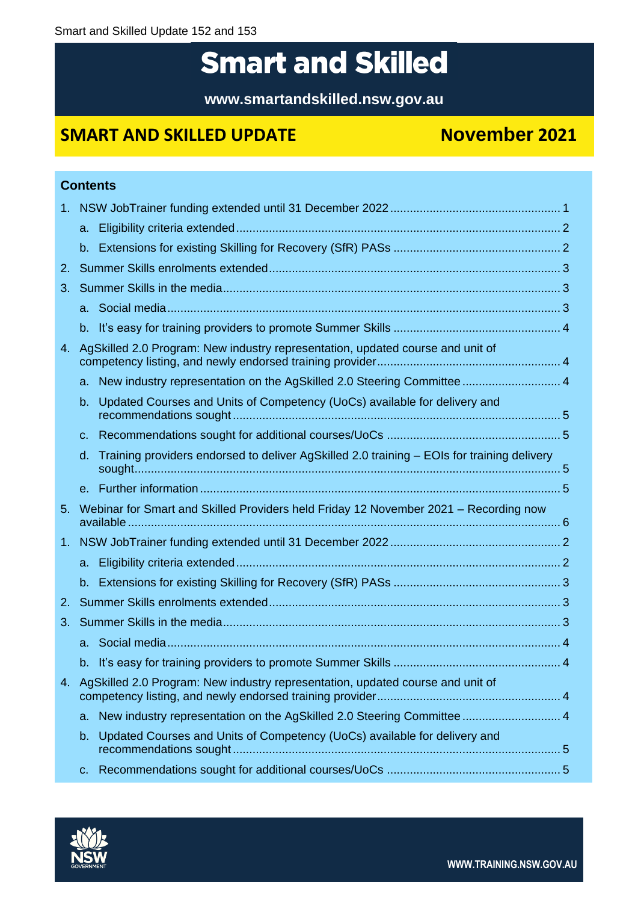# **Smart and Skilled**

**www.smartandskilled.nsw.gov.au**

## **SMART AND SKILLED UPDATE November 2021**

|                |                | <b>Contents</b>                                                                            |  |  |
|----------------|----------------|--------------------------------------------------------------------------------------------|--|--|
| $1_{-}$        |                |                                                                                            |  |  |
|                | a.             |                                                                                            |  |  |
|                |                |                                                                                            |  |  |
| 2.             |                |                                                                                            |  |  |
| 3.             |                |                                                                                            |  |  |
|                |                |                                                                                            |  |  |
|                | $b_{\cdot}$    |                                                                                            |  |  |
| 4.             |                | AgSkilled 2.0 Program: New industry representation, updated course and unit of             |  |  |
|                |                | a. New industry representation on the AgSkilled 2.0 Steering Committee 4                   |  |  |
|                | b.             | Updated Courses and Units of Competency (UoCs) available for delivery and                  |  |  |
|                | $\mathbf{C}$ . |                                                                                            |  |  |
|                | d.             | Training providers endorsed to deliver AgSkilled 2.0 training - EOIs for training delivery |  |  |
|                |                |                                                                                            |  |  |
| 5 <sub>1</sub> |                | Webinar for Smart and Skilled Providers held Friday 12 November 2021 - Recording now       |  |  |
| $1_{-}$        |                |                                                                                            |  |  |
|                | a.             |                                                                                            |  |  |
|                | $b_{-}$        |                                                                                            |  |  |
| 2.             |                |                                                                                            |  |  |
| 3.             |                |                                                                                            |  |  |
|                |                |                                                                                            |  |  |
|                |                |                                                                                            |  |  |
| 4.             |                | AgSkilled 2.0 Program: New industry representation, updated course and unit of             |  |  |
|                | a.             | New industry representation on the AgSkilled 2.0 Steering Committee  4                     |  |  |
|                | b.             | Updated Courses and Units of Competency (UoCs) available for delivery and                  |  |  |
|                | c.             |                                                                                            |  |  |

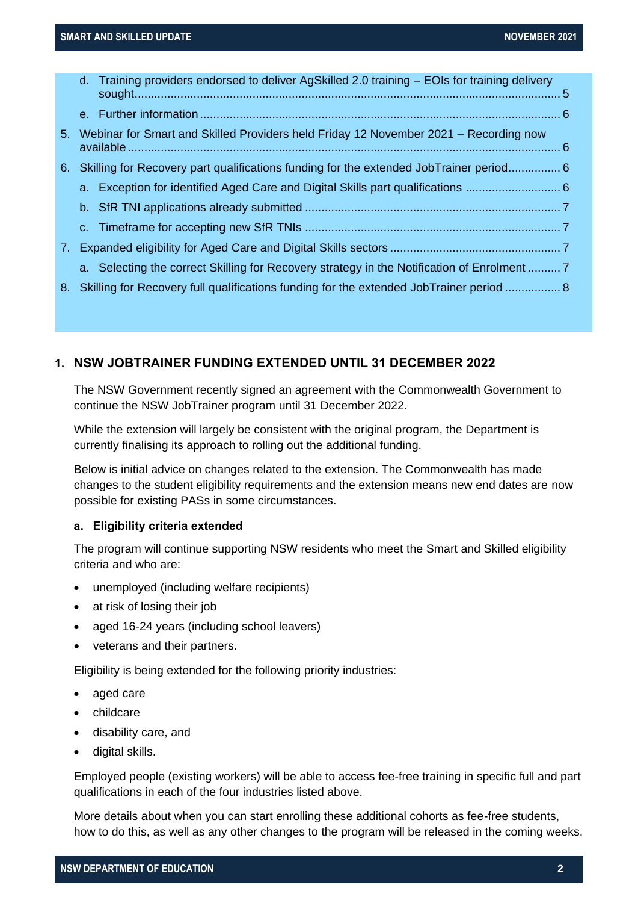|  | d. Training providers endorsed to deliver AgSkilled 2.0 training – EOIs for training delivery |  |
|--|-----------------------------------------------------------------------------------------------|--|
|  |                                                                                               |  |
|  | 5. Webinar for Smart and Skilled Providers held Friday 12 November 2021 – Recording now       |  |
|  | 6. Skilling for Recovery part qualifications funding for the extended JobTrainer period 6     |  |
|  | a. Exception for identified Aged Care and Digital Skills part qualifications                  |  |
|  |                                                                                               |  |
|  |                                                                                               |  |
|  |                                                                                               |  |
|  | a. Selecting the correct Skilling for Recovery strategy in the Notification of Enrolment  7   |  |
|  | 8. Skilling for Recovery full qualifications funding for the extended JobTrainer period  8    |  |
|  |                                                                                               |  |

#### <span id="page-1-0"></span>**1. NSW JOBTRAINER FUNDING EXTENDED UNTIL 31 DECEMBER 2022**

The NSW Government recently signed an agreement with the Commonwealth Government to continue the NSW JobTrainer program until 31 December 2022.

While the extension will largely be consistent with the original program, the Department is currently finalising its approach to rolling out the additional funding.

Below is initial advice on changes related to the extension. The Commonwealth has made changes to the student eligibility requirements and the extension means new end dates are now possible for existing PASs in some circumstances.

#### <span id="page-1-1"></span>**a. Eligibility criteria extended**

The program will continue supporting NSW residents who meet the Smart and Skilled eligibility criteria and who are:

- unemployed (including welfare recipients)
- at risk of losing their job
- aged 16-24 years (including school leavers)
- veterans and their partners.

Eligibility is being extended for the following priority industries:

- aged care
- childcare
- disability care, and
- digital skills.

Employed people (existing workers) will be able to access fee-free training in specific full and part qualifications in each of the four industries listed above.

More details about when you can start enrolling these additional cohorts as fee-free students, how to do this, as well as any other changes to the program will be released in the coming weeks.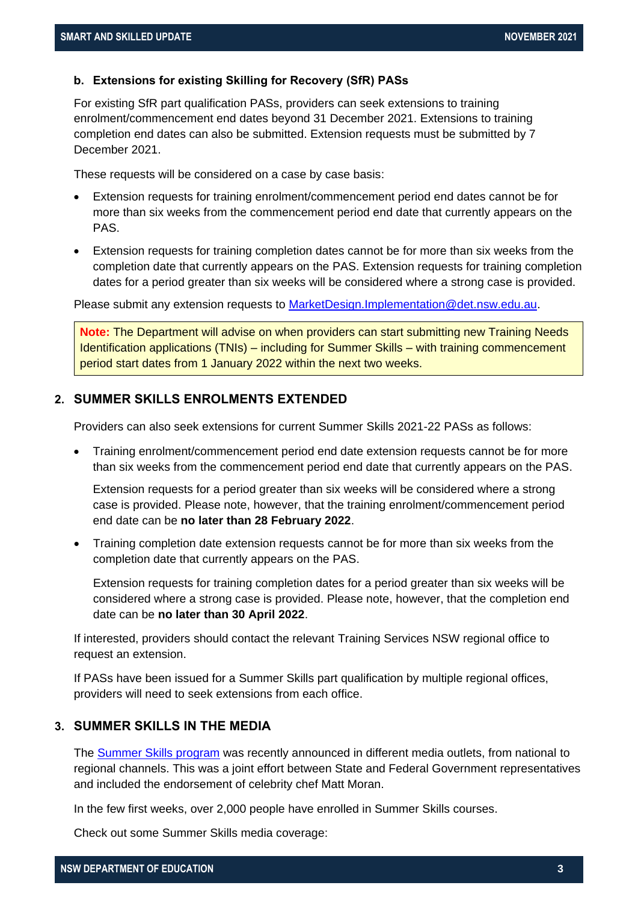#### <span id="page-2-0"></span>**b. Extensions for existing Skilling for Recovery (SfR) PASs**

For existing SfR part qualification PASs, providers can seek extensions to training enrolment/commencement end dates beyond 31 December 2021. Extensions to training completion end dates can also be submitted. Extension requests must be submitted by 7 December 2021.

These requests will be considered on a case by case basis:

- Extension requests for training enrolment/commencement period end dates cannot be for more than six weeks from the commencement period end date that currently appears on the PAS.
- Extension requests for training completion dates cannot be for more than six weeks from the completion date that currently appears on the PAS. Extension requests for training completion dates for a period greater than six weeks will be considered where a strong case is provided.

Please submit any extension requests to [MarketDesign.Implementation@det.nsw.edu.au.](mailto:MarketDesign.Implementation@det.nsw.edu.au)

**Note:** The Department will advise on when providers can start submitting new Training Needs Identification applications (TNIs) – including for Summer Skills – with training commencement period start dates from 1 January 2022 within the next two weeks.

#### <span id="page-2-1"></span>**2. SUMMER SKILLS ENROLMENTS EXTENDED**

Providers can also seek extensions for current Summer Skills 2021-22 PASs as follows:

• Training enrolment/commencement period end date extension requests cannot be for more than six weeks from the commencement period end date that currently appears on the PAS.

Extension requests for a period greater than six weeks will be considered where a strong case is provided. Please note, however, that the training enrolment/commencement period end date can be **no later than 28 February 2022**.

• Training completion date extension requests cannot be for more than six weeks from the completion date that currently appears on the PAS.

Extension requests for training completion dates for a period greater than six weeks will be considered where a strong case is provided. Please note, however, that the completion end date can be **no later than 30 April 2022**.

If interested, providers should contact the relevant Training Services NSW regional office to request an extension.

If PASs have been issued for a Summer Skills part qualification by multiple regional offices, providers will need to seek extensions from each office.

#### <span id="page-2-2"></span>**3. SUMMER SKILLS IN THE MEDIA**

The [Summer Skills program](https://education.nsw.gov.au/skills-nsw/skills-initiatives/summer-skills.html) was recently announced in different media outlets, from national to regional channels. This was a joint effort between State and Federal Government representatives and included the endorsement of celebrity chef Matt Moran.

In the few first weeks, over 2,000 people have enrolled in Summer Skills courses.

Check out some Summer Skills media coverage: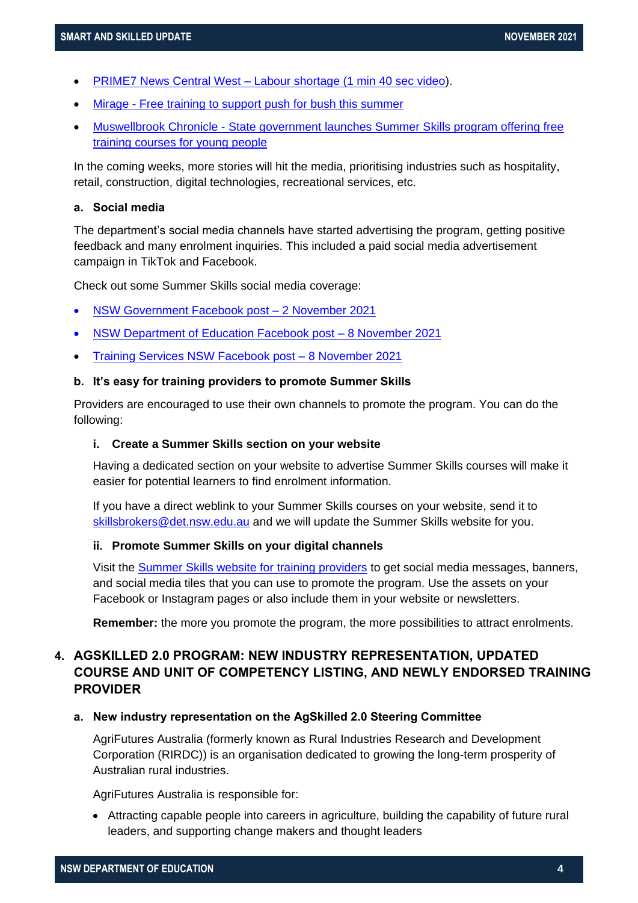- PRIME7 News Central West [Labour shortage \(1 min 40 sec video\)](https://www.prime7.com.au/news/7470310-labour-shortage).
- Mirage [Free training to support push for bush this summer](https://www.miragenews.com/free-training-to-support-push-for-bush-this-667215/)
- Muswellbrook Chronicle [State government launches Summer](https://www.muswellbrookchronicle.com.au/story/7498959/nsw-launches-free-training-courses-in-summer-skills-program/) Skills program offering free [training courses for young people](https://www.muswellbrookchronicle.com.au/story/7498959/nsw-launches-free-training-courses-in-summer-skills-program/)

In the coming weeks, more stories will hit the media, prioritising industries such as hospitality, retail, construction, digital technologies, recreational services, etc.

#### <span id="page-3-0"></span>**a. Social media**

The department's social media channels have started advertising the program, getting positive feedback and many enrolment inquiries. This included a paid social media advertisement campaign in TikTok and Facebook.

Check out some Summer Skills social media coverage:

- [NSW Government Facebook post –](https://www.facebook.com/photo?fbid=222586870000955&set=a.119307046995605) 2 November 2021
- [NSW Department of Education Facebook post –](https://www.facebook.com/NSWDepartmentofEducation/videos/1041400646657731) 8 November 2021
- [Training Services NSW Facebook post –](https://www.facebook.com/photo?fbid=182590794060957&set=a.111990657787638) 8 November 2021

#### <span id="page-3-1"></span>**b. It's easy for training providers to promote Summer Skills**

Providers are encouraged to use their own channels to promote the program. You can do the following:

#### **i. Create a Summer Skills section on your website**

Having a dedicated section on your website to advertise Summer Skills courses will make it easier for potential learners to find enrolment information.

If you have a direct weblink to your Summer Skills courses on your website, send it to [skillsbrokers@det.nsw.edu.au](mailto:skillsbrokers@det.nsw.edu.au) and we will update the Summer Skills website for you.

#### **ii. Promote Summer Skills on your digital channels**

Visit the [Summer Skills website for training providers](https://www.training.nsw.gov.au/programs_services/sfr/skills_brokers/summer_skills/index.html) to get social media messages, banners, and social media tiles that you can use to promote the program. Use the assets on your Facebook or Instagram pages or also include them in your website or newsletters.

**Remember:** the more you promote the program, the more possibilities to attract enrolments.

### <span id="page-3-2"></span>**4. AGSKILLED 2.0 PROGRAM: NEW INDUSTRY REPRESENTATION, UPDATED COURSE AND UNIT OF COMPETENCY LISTING, AND NEWLY ENDORSED TRAINING PROVIDER**

#### <span id="page-3-3"></span>**a. New industry representation on the AgSkilled 2.0 Steering Committee**

AgriFutures Australia (formerly known as Rural Industries Research and Development Corporation (RIRDC)) is an organisation dedicated to growing the long-term prosperity of Australian rural industries.

AgriFutures Australia is responsible for:

• Attracting capable people into careers in agriculture, building the capability of future rural leaders, and supporting change makers and thought leaders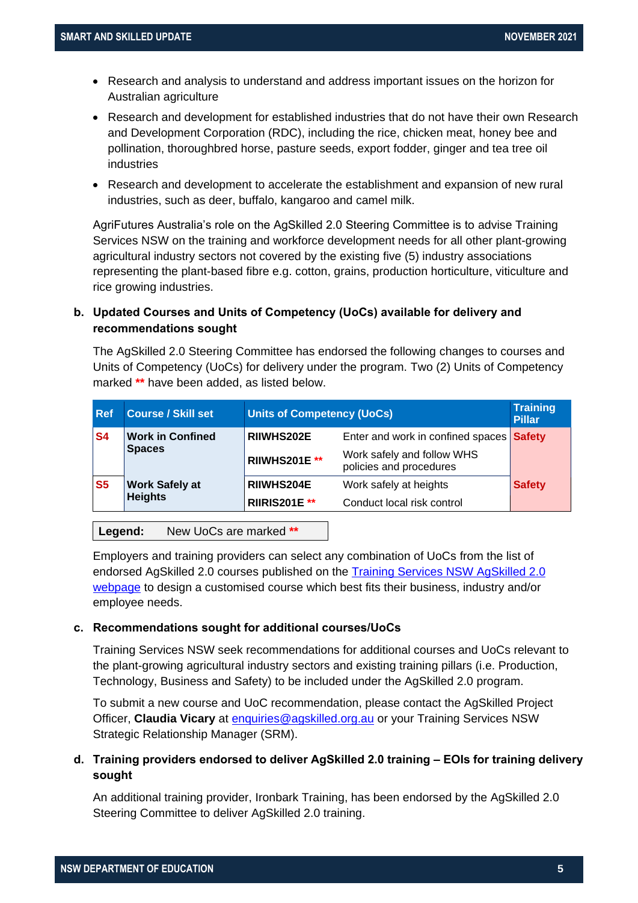- Research and analysis to understand and address important issues on the horizon for Australian agriculture
- Research and development for established industries that do not have their own Research and Development Corporation (RDC), including the rice, chicken meat, honey bee and pollination, thoroughbred horse, pasture seeds, export fodder, ginger and tea tree oil industries
- Research and development to accelerate the establishment and expansion of new rural industries, such as deer, buffalo, kangaroo and camel milk.

AgriFutures Australia's role on the AgSkilled 2.0 Steering Committee is to advise Training Services NSW on the training and workforce development needs for all other plant-growing agricultural industry sectors not covered by the existing five (5) industry associations representing the plant-based fibre e.g. cotton, grains, production horticulture, viticulture and rice growing industries.

#### <span id="page-4-0"></span>**b. Updated Courses and Units of Competency (UoCs) available for delivery and recommendations sought**

The AgSkilled 2.0 Steering Committee has endorsed the following changes to courses and Units of Competency (UoCs) for delivery under the program. Two (2) Units of Competency marked **\*\*** have been added, as listed below.

| <b>Pillar</b>                                   |
|-------------------------------------------------|
| Enter and work in confined spaces <b>Safety</b> |
|                                                 |
| <b>Safety</b>                                   |
|                                                 |
|                                                 |

**Legend:** New UoCs are marked **\*\***

Employers and training providers can select any combination of UoCs from the list of endorsed AgSkilled 2.0 courses published on the [Training Services NSW AgSkilled 2.0](https://www.training.nsw.gov.au/programs_services/funded_other/agskilled/index.html)  [webpage](https://www.training.nsw.gov.au/programs_services/funded_other/agskilled/index.html) to design a customised course which best fits their business, industry and/or employee needs.

#### <span id="page-4-1"></span>**c. Recommendations sought for additional courses/UoCs**

Training Services NSW seek recommendations for additional courses and UoCs relevant to the plant-growing agricultural industry sectors and existing training pillars (i.e. Production, Technology, Business and Safety) to be included under the AgSkilled 2.0 program.

To submit a new course and UoC recommendation, please contact the AgSkilled Project Officer, **Claudia Vicary** at [enquiries@agskilled.org.au](mailto:enquiries@agskilled.org.au) or your Training Services NSW Strategic Relationship Manager (SRM).

#### <span id="page-4-2"></span>**d. Training providers endorsed to deliver AgSkilled 2.0 training – EOIs for training delivery sought**

An additional training provider, Ironbark Training, has been endorsed by the AgSkilled 2.0 Steering Committee to deliver AgSkilled 2.0 training.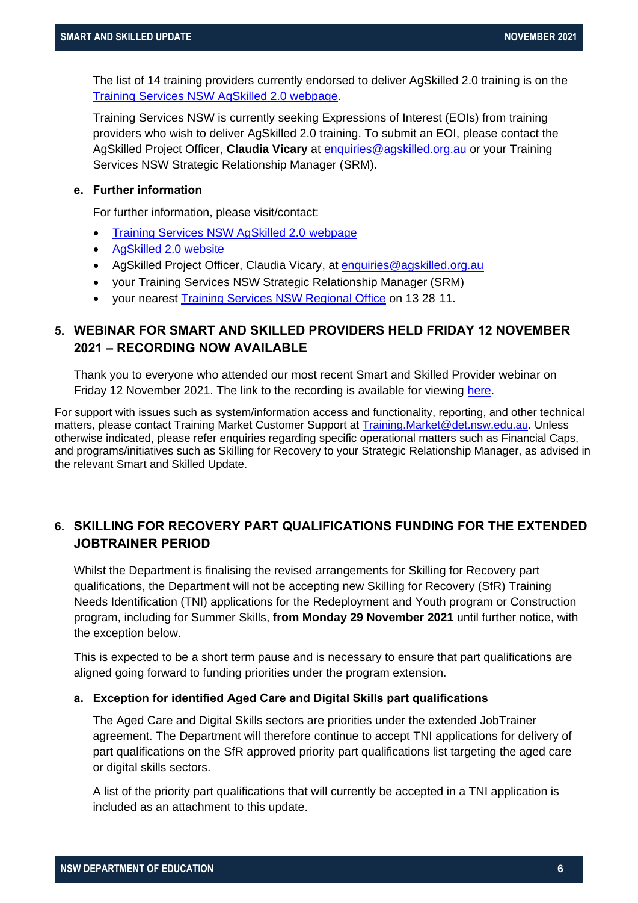The list of 14 training providers currently endorsed to deliver AgSkilled 2.0 training is on the [Training Services NSW AgSkilled 2.0 webpage.](https://www.training.nsw.gov.au/programs_services/funded_other/agskilled/index.html)

Training Services NSW is currently seeking Expressions of Interest (EOIs) from training providers who wish to deliver AgSkilled 2.0 training. To submit an EOI, please contact the AgSkilled Project Officer, **Claudia Vicary** at [enquiries@agskilled.org.au](mailto:enquiries@agskilled.org.au) or your Training Services NSW Strategic Relationship Manager (SRM).

#### <span id="page-5-0"></span>**e. Further information**

For further information, please visit/contact:

- [Training Services NSW AgSkilled 2.0](https://www.training.nsw.gov.au/programs_services/funded_other/agskilled/index.html) webpage
- [AgSkilled 2.0](https://www.agskilled.org.au/) website
- AgSkilled Project Officer, Claudia Vicary, at [enquiries@agskilled.org.au](mailto:enquiries@agskilled.org.au)
- your Training Services NSW Strategic Relationship Manager (SRM)
- your nearest [Training Services NSW Regional Office](https://education.nsw.gov.au/skills-nsw/contact-us) on 13 28 11.

#### <span id="page-5-1"></span>**5. WEBINAR FOR SMART AND SKILLED PROVIDERS HELD FRIDAY 12 NOVEMBER 2021 – RECORDING NOW AVAILABLE**

Thank you to everyone who attended our most recent Smart and Skilled Provider webinar on Friday 12 November 2021. The link to the recording is available for viewing [here.](https://www.training.nsw.gov.au/multimedia/videos/webinars/)

For support with issues such as system/information access and functionality, reporting, and other technical matters, please contact Training Market Customer Support at [Training.Market@det.nsw.edu.au.](mailto:Training.Market@det.nsw.edu.au) Unless otherwise indicated, please refer enquiries regarding specific operational matters such as Financial Caps, and programs/initiatives such as Skilling for Recovery to your Strategic Relationship Manager, as advised in the relevant Smart and Skilled Update.

#### **6. SKILLING FOR RECOVERY PART QUALIFICATIONS FUNDING FOR THE EXTENDED JOBTRAINER PERIOD**

Whilst the Department is finalising the revised arrangements for Skilling for Recovery part qualifications, the Department will not be accepting new Skilling for Recovery (SfR) Training Needs Identification (TNI) applications for the Redeployment and Youth program or Construction program, including for Summer Skills, **from Monday 29 November 2021** until further notice, with the exception below.

This is expected to be a short term pause and is necessary to ensure that part qualifications are aligned going forward to funding priorities under the program extension.

#### **a. Exception for identified Aged Care and Digital Skills part qualifications**

The Aged Care and Digital Skills sectors are priorities under the extended JobTrainer agreement. The Department will therefore continue to accept TNI applications for delivery of part qualifications on the SfR approved priority part qualifications list targeting the aged care or digital skills sectors.

A list of the priority part qualifications that will currently be accepted in a TNI application is included as an attachment to this update.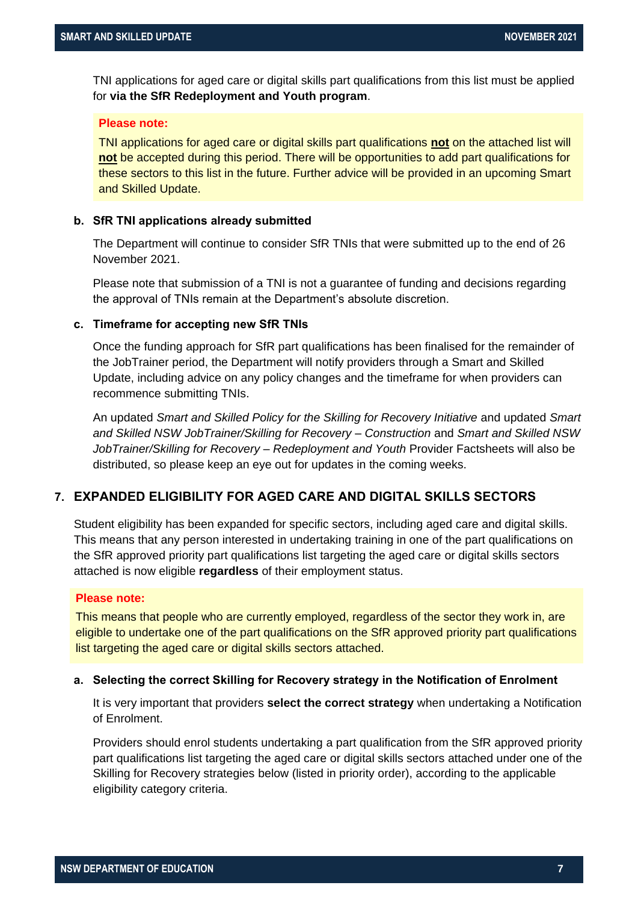TNI applications for aged care or digital skills part qualifications from this list must be applied for **via the SfR Redeployment and Youth program**.

#### **Please note:**

TNI applications for aged care or digital skills part qualifications **not** on the attached list will **not** be accepted during this period. There will be opportunities to add part qualifications for these sectors to this list in the future. Further advice will be provided in an upcoming Smart and Skilled Update.

#### **b. SfR TNI applications already submitted**

The Department will continue to consider SfR TNIs that were submitted up to the end of 26 November 2021.

Please note that submission of a TNI is not a guarantee of funding and decisions regarding the approval of TNIs remain at the Department's absolute discretion.

#### **c. Timeframe for accepting new SfR TNIs**

Once the funding approach for SfR part qualifications has been finalised for the remainder of the JobTrainer period, the Department will notify providers through a Smart and Skilled Update, including advice on any policy changes and the timeframe for when providers can recommence submitting TNIs.

An updated *Smart and Skilled Policy for the Skilling for Recovery Initiative* and updated *Smart and Skilled NSW JobTrainer/Skilling for Recovery – Construction* and *Smart and Skilled NSW JobTrainer/Skilling for Recovery – Redeployment and Youth* Provider Factsheets will also be distributed, so please keep an eye out for updates in the coming weeks.

#### **7. EXPANDED ELIGIBILITY FOR AGED CARE AND DIGITAL SKILLS SECTORS**

Student eligibility has been expanded for specific sectors, including aged care and digital skills. This means that any person interested in undertaking training in one of the part qualifications on the SfR approved priority part qualifications list targeting the aged care or digital skills sectors attached is now eligible **regardless** of their employment status.

#### **Please note:**

This means that people who are currently employed, regardless of the sector they work in, are eligible to undertake one of the part qualifications on the SfR approved priority part qualifications list targeting the aged care or digital skills sectors attached.

#### **a. Selecting the correct Skilling for Recovery strategy in the Notification of Enrolment**

It is very important that providers **select the correct strategy** when undertaking a Notification of Enrolment.

Providers should enrol students undertaking a part qualification from the SfR approved priority part qualifications list targeting the aged care or digital skills sectors attached under one of the Skilling for Recovery strategies below (listed in priority order), according to the applicable eligibility category criteria.